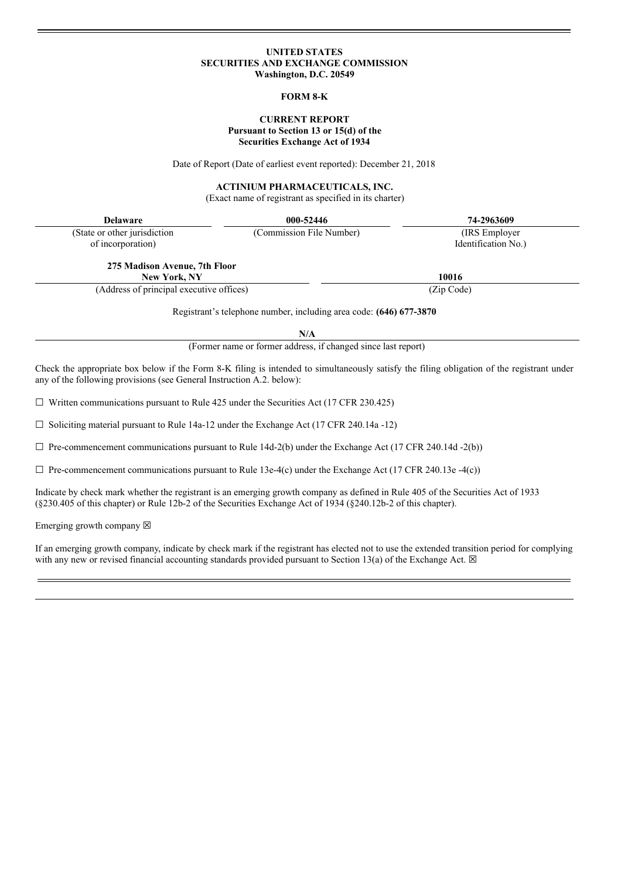#### **UNITED STATES SECURITIES AND EXCHANGE COMMISSION Washington, D.C. 20549**

## **FORM 8-K**

## **CURRENT REPORT Pursuant to Section 13 or 15(d) of the Securities Exchange Act of 1934**

Date of Report (Date of earliest event reported): December 21, 2018

## **ACTINIUM PHARMACEUTICALS, INC.**

(Exact name of registrant as specified in its charter)

| <b>Delaware</b>                                                                                                                                                                                                     | 000-52446                                                     | 74-2963609          |
|---------------------------------------------------------------------------------------------------------------------------------------------------------------------------------------------------------------------|---------------------------------------------------------------|---------------------|
| (State or other jurisdiction                                                                                                                                                                                        | (Commission File Number)                                      | (IRS Employer)      |
| of incorporation)                                                                                                                                                                                                   |                                                               | Identification No.) |
| 275 Madison Avenue, 7th Floor                                                                                                                                                                                       |                                                               |                     |
| <b>New York, NY</b>                                                                                                                                                                                                 |                                                               | 10016               |
| (Address of principal executive offices)                                                                                                                                                                            |                                                               | (Zip Code)          |
| Registrant's telephone number, including area code: (646) 677-3870<br>N/A                                                                                                                                           |                                                               |                     |
|                                                                                                                                                                                                                     | (Former name or former address, if changed since last report) |                     |
| Check the appropriate box below if the Form 8-K filing is intended to simultaneously satisfy the filing obligation of the registrant under<br>any of the following provisions (see General Instruction A.2. below): |                                                               |                     |
| $\Box$ Written communications pursuant to Rule 425 under the Securities Act (17 CFR 230.425)                                                                                                                        |                                                               |                     |
|                                                                                                                                                                                                                     |                                                               |                     |

☐ Soliciting material pursuant to Rule 14a-12 under the Exchange Act (17 CFR 240.14a -12)

 $\Box$  Pre-commencement communications pursuant to Rule 14d-2(b) under the Exchange Act (17 CFR 240.14d -2(b))

 $\Box$  Pre-commencement communications pursuant to Rule 13e-4(c) under the Exchange Act (17 CFR 240.13e -4(c))

Indicate by check mark whether the registrant is an emerging growth company as defined in Rule 405 of the Securities Act of 1933 (§230.405 of this chapter) or Rule 12b-2 of the Securities Exchange Act of 1934 (§240.12b-2 of this chapter).

Emerging growth company  $\boxtimes$ 

If an emerging growth company, indicate by check mark if the registrant has elected not to use the extended transition period for complying with any new or revised financial accounting standards provided pursuant to Section 13(a) of the Exchange Act.  $\boxtimes$